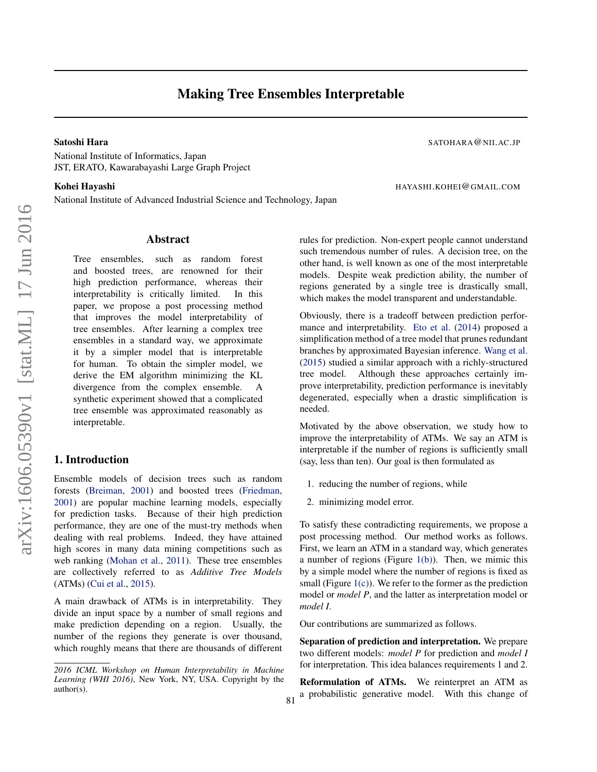# Making Tree Ensembles Interpretable

#### Satoshi Hara Satoshi Hara Satoshi Hara Satoshi Hara Satoshi Hara Satoshi Hara Satoshi Hara Satoshi Hara Satoshi Hara Satoshi Hara Satoshi Hara Satoshi Hara Satoshi Hara Satoshi Hara Satoshi Hara Satoshi Hara Satoshi Hara S

National Institute of Informatics, Japan JST, ERATO, Kawarabayashi Large Graph Project

### Kohei Hayashi Massachusettsi Hayashi Hayashi Hayashi Hayashi Hayashi Hayashi Hayashi Hayashi Hayashi Hayashi H

National Institute of Advanced Industrial Science and Technology, Japan

## Abstract

Tree ensembles, such as random forest and boosted trees, are renowned for their high prediction performance, whereas their interpretability is critically limited. In this paper, we propose a post processing method that improves the model interpretability of tree ensembles. After learning a complex tree ensembles in a standard way, we approximate it by a simpler model that is interpretable for human. To obtain the simpler model, we derive the EM algorithm minimizing the KL divergence from the complex ensemble. A synthetic experiment showed that a complicated tree ensemble was approximated reasonably as interpretable.

## 1. Introduction

Ensemble models of decision trees such as random forests [\(Breiman,](#page-4-0) [2001\)](#page-4-0) and boosted trees [\(Friedman,](#page-4-0) [2001\)](#page-4-0) are popular machine learning models, especially for prediction tasks. Because of their high prediction performance, they are one of the must-try methods when dealing with real problems. Indeed, they have attained high scores in many data mining competitions such as web ranking [\(Mohan et al.,](#page-4-0) [2011\)](#page-4-0). These tree ensembles are collectively referred to as *Additive Tree Models* (ATMs) [\(Cui et al.,](#page-4-0) [2015\)](#page-4-0).

A main drawback of ATMs is in interpretability. They divide an input space by a number of small regions and make prediction depending on a region. Usually, the number of the regions they generate is over thousand, which roughly means that there are thousands of different rules for prediction. Non-expert people cannot understand such tremendous number of rules. A decision tree, on the other hand, is well known as one of the most interpretable models. Despite weak prediction ability, the number of regions generated by a single tree is drastically small, which makes the model transparent and understandable.

Obviously, there is a tradeoff between prediction performance and interpretability. [Eto et al.](#page-4-0) [\(2014\)](#page-4-0) proposed a simplification method of a tree model that prunes redundant branches by approximated Bayesian inference. [Wang et al.](#page-4-0) [\(2015\)](#page-4-0) studied a similar approach with a richly-structured tree model. Although these approaches certainly improve interpretability, prediction performance is inevitably degenerated, especially when a drastic simplification is needed.

Motivated by the above observation, we study how to improve the interpretability of ATMs. We say an ATM is interpretable if the number of regions is sufficiently small (say, less than ten). Our goal is then formulated as

- 1. reducing the number of regions, while
- 2. minimizing model error.

81

To satisfy these contradicting requirements, we propose a post processing method. Our method works as follows. First, we learn an ATM in a standard way, which generates a number of regions (Figure  $1(b)$ ). Then, we mimic this by a simple model where the number of regions is fixed as small (Figure  $1(c)$ ). We refer to the former as the prediction model or *model P*, and the latter as interpretation model or *model I*.

Our contributions are summarized as follows.

Separation of prediction and interpretation. We prepare two different models: *model P* for prediction and *model I* for interpretation. This idea balances requirements 1 and 2.

Reformulation of ATMs. We reinterpret an ATM as a probabilistic generative model. With this change of

*<sup>2016</sup> ICML Workshop on Human Interpretability in Machine Learning (WHI 2016)*, New York, NY, USA. Copyright by the author(s).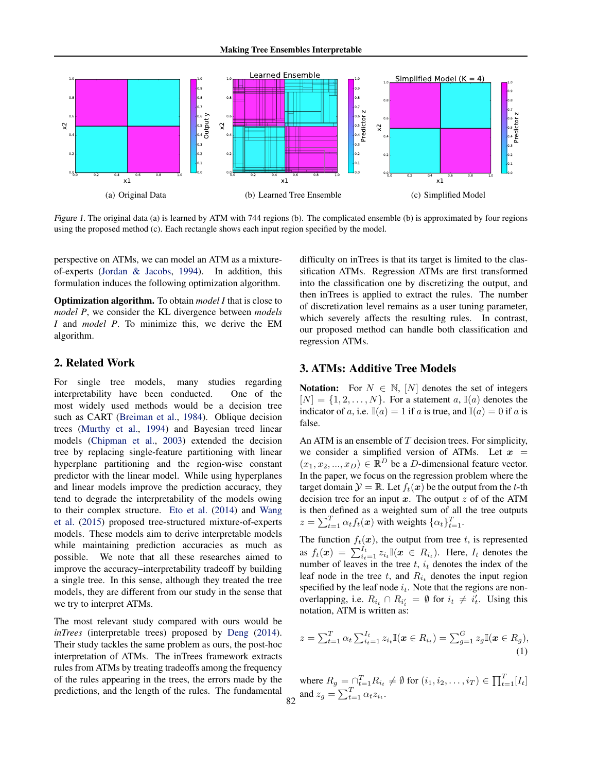<span id="page-1-0"></span>

Figure 1. The original data (a) is learned by ATM with 744 regions (b). The complicated ensemble (b) is approximated by four regions using the proposed method (c). Each rectangle shows each input region specified by the model.

perspective on ATMs, we can model an ATM as a mixtureof-experts [\(Jordan & Jacobs,](#page-4-0) [1994\)](#page-4-0). In addition, this formulation induces the following optimization algorithm.

Optimization algorithm. To obtain *model I* that is close to *model P*, we consider the KL divergence between *models I* and *model P*. To minimize this, we derive the EM algorithm.

## 2. Related Work

For single tree models, many studies regarding interpretability have been conducted. One of the most widely used methods would be a decision tree such as CART [\(Breiman et al.,](#page-4-0) [1984\)](#page-4-0). Oblique decision trees [\(Murthy et al.,](#page-4-0) [1994\)](#page-4-0) and Bayesian treed linear models [\(Chipman et al.,](#page-4-0) [2003\)](#page-4-0) extended the decision tree by replacing single-feature partitioning with linear hyperplane partitioning and the region-wise constant predictor with the linear model. While using hyperplanes and linear models improve the prediction accuracy, they tend to degrade the interpretability of the models owing to their complex structure. [Eto et al.](#page-4-0) [\(2014\)](#page-4-0) and [Wang](#page-4-0) [et al.](#page-4-0) [\(2015\)](#page-4-0) proposed tree-structured mixture-of-experts models. These models aim to derive interpretable models while maintaining prediction accuracies as much as possible. We note that all these researches aimed to improve the accuracy–interpretability tradeoff by building a single tree. In this sense, although they treated the tree models, they are different from our study in the sense that we try to interpret ATMs.

The most relevant study compared with ours would be *inTrees* (interpretable trees) proposed by [Deng](#page-4-0) [\(2014\)](#page-4-0). Their study tackles the same problem as ours, the post-hoc interpretation of ATMs. The inTrees framework extracts rules from ATMs by treating tradeoffs among the frequency of the rules appearing in the trees, the errors made by the predictions, and the length of the rules. The fundamental difficulty on inTrees is that its target is limited to the classification ATMs. Regression ATMs are first transformed into the classification one by discretizing the output, and then inTrees is applied to extract the rules. The number of discretization level remains as a user tuning parameter, which severely affects the resulting rules. In contrast, our proposed method can handle both classification and regression ATMs.

## 3. ATMs: Additive Tree Models

**Notation:** For  $N \in \mathbb{N}$ ,  $[N]$  denotes the set of integers  $[N] = \{1, 2, \ldots, N\}$ . For a statement a,  $\mathbb{I}(a)$  denotes the indicator of a, i.e.  $\mathbb{I}(a) = 1$  if a is true, and  $\mathbb{I}(a) = 0$  if a is false.

An ATM is an ensemble of  $T$  decision trees. For simplicity, we consider a simplified version of ATMs. Let  $x =$  $(x_1, x_2, ..., x_D) \in \mathbb{R}^D$  be a D-dimensional feature vector. In the paper, we focus on the regression problem where the target domain  $\mathcal{Y} = \mathbb{R}$ . Let  $f_t(\mathbf{x})$  be the output from the t-th decision tree for an input  $x$ . The output  $z$  of of the ATM is then defined as a weighted sum of all the tree outputs  $z = \sum_{t=1}^{T} \alpha_t f_t(\mathbf{x})$  with weights  $\{\alpha_t\}_{t=1}^{T}$ .

The function  $f_t(x)$ , the output from tree t, is represented as  $f_t(\boldsymbol{x}) = \sum_{i_t=1}^{I_t} z_{i_t} \mathbb{I}(\boldsymbol{x} \in R_{i_t})$ . Here,  $I_t$  denotes the number of leaves in the tree  $t$ ,  $i_t$  denotes the index of the leaf node in the tree  $t$ , and  $R_{i_t}$  denotes the input region specified by the leaf node  $i_t$ . Note that the regions are nonoverlapping, i.e.  $R_{i_t} \cap R_{i'_t} = \emptyset$  for  $i_t \neq i'_t$ . Using this notation, ATM is written as:

$$
z = \sum_{t=1}^{T} \alpha_t \sum_{i_t=1}^{I_t} z_{i_t} \mathbb{I}(\boldsymbol{x} \in R_{i_t}) = \sum_{g=1}^{G} z_g \mathbb{I}(\boldsymbol{x} \in R_g),
$$
\n(1)

where  $R_g = \bigcap_{t=1}^T R_{i_t} \neq \emptyset$  for  $(i_1, i_2, \dots, i_T) \in \prod_{t=1}^T [I_t]$ 82 and  $z_g = \sum_{t=1}^T \alpha_t z_{i_t}$ .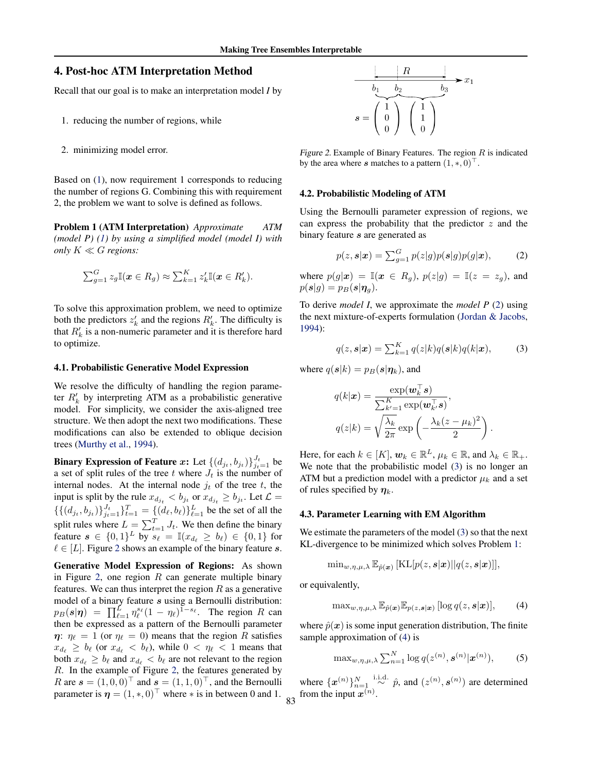## <span id="page-2-0"></span>4. Post-hoc ATM Interpretation Method

Recall that our goal is to make an interpretation model *I* by

- 1. reducing the number of regions, while
- 2. minimizing model error.

Based on [\(1\)](#page-1-0), now requirement 1 corresponds to reducing the number of regions G. Combining this with requirement 2, the problem we want to solve is defined as follows.

Problem 1 (ATM Interpretation) *Approximate ATM (model P) [\(1\)](#page-1-0) by using a simplified model (model I) with only*  $K \ll G$  *regions:* 

$$
\sum_{g=1}^{G} z_g \mathbb{I}(\boldsymbol{x} \in R_g) \approx \sum_{k=1}^{K} z'_k \mathbb{I}(\boldsymbol{x} \in R'_k).
$$

To solve this approximation problem, we need to optimize both the predictors  $z'_k$  and the regions  $R'_k$ . The difficulty is that  $R'_k$  is a non-numeric parameter and it is therefore hard to optimize.

#### 4.1. Probabilistic Generative Model Expression

We resolve the difficulty of handling the region parameter  $R'_k$  by interpreting ATM as a probabilistic generative model. For simplicity, we consider the axis-aligned tree structure. We then adopt the next two modifications. These modifications can also be extended to oblique decision trees [\(Murthy et al.,](#page-4-0) [1994\)](#page-4-0).

Binary Expression of Feature x: Let  $\{(d_{j_t}, b_{j_t})\}_{j_t=1}^{J_t}$  be a set of split rules of the tree t where  $J_t$  is the number of internal nodes. At the internal node  $j_t$  of the tree t, the input is split by the rule  $x_{d_{j_t}} < b_{j_t}$  or  $x_{d_{j_t}} \ge b_{j_t}$ . Let  $\mathcal{L} =$  $\{\{(d_{j_t}, b_{j_t})\}_{j_t=1}^{J_t}\}_{t=1}^T = \{(d_\ell, b_\ell)\}_{\ell=1}^L$  be the set of all the split rules where  $L = \sum_{t=1}^{T} J_t$ . We then define the binary feature  $s \in \{0,1\}^L$  by  $s_{\ell} = \mathbb{I}(x_{d_{\ell}} \ge b_{\ell}) \in \{0,1\}$  for  $\ell \in [L]$ . Figure 2 shows an example of the binary feature s.

Generative Model Expression of Regions: As shown in Figure 2, one region  $R$  can generate multiple binary features. We can thus interpret the region  $R$  as a generative model of a binary feature s using a Bernoulli distribution:  $p_B(s|\eta) = \prod_{\ell=1}^L \eta_\ell^{s_\ell} (1-\eta_\ell)^{1-s_\ell}$ . The region R can then be expressed as a pattern of the Bernoulli parameter  $\eta$ :  $\eta_{\ell} = 1$  (or  $\eta_{\ell} = 0$ ) means that the region R satisfies  $x_{d_\ell} \geq b_\ell$  (or  $x_{d_\ell} < b_\ell$ ), while  $0 < \eta_\ell < 1$  means that both  $x_{d_\ell} \ge b_\ell$  and  $x_{d_\ell} < b_\ell$  are not relevant to the region R. In the example of Figure 2, the features generated by R are  $s = (1, 0, 0)^\top$  and  $s = (1, 1, 0)^\top$ , and the Bernoulli parameter is  $\boldsymbol{\eta} = (1, \ast, 0)^\top$  where  $\ast$  is in between 0 and 1.



Figure 2. Example of Binary Features. The region  $R$  is indicated by the area where s matches to a pattern  $(1, *, 0)$ .

#### 4.2. Probabilistic Modeling of ATM

Using the Bernoulli parameter expression of regions, we can express the probability that the predictor  $z$  and the binary feature s are generated as

$$
p(z, \mathbf{s}|\mathbf{x}) = \sum_{g=1}^{G} p(z|g) p(\mathbf{s}|g) p(g|\mathbf{x}), \quad (2)
$$

where  $p(g|\mathbf{x}) = \mathbb{I}(\mathbf{x} \in R_q)$ ,  $p(z|g) = \mathbb{I}(z = z_q)$ , and  $p(\mathbf{s}|g) = p_B(\mathbf{s}|\boldsymbol{\eta}_q).$ 

To derive *model I*, we approximate the *model P* (2) using the next mixture-of-experts formulation [\(Jordan & Jacobs,](#page-4-0) [1994\)](#page-4-0):

$$
q(z, s|\boldsymbol{x}) = \sum_{k=1}^{K} q(z|k)q(s|k)q(k|\boldsymbol{x}), \qquad (3)
$$

.

where  $q(s|k) = p_B(s|\eta_k)$ , and

$$
q(k|\mathbf{x}) = \frac{\exp(\mathbf{w}_k^{\top} \mathbf{s})}{\sum_{k'=1}^{K} \exp(\mathbf{w}_k^{\top} \mathbf{s})},
$$

$$
q(z|k) = \sqrt{\frac{\lambda_k}{2\pi}} \exp\left(-\frac{\lambda_k (z - \mu_k)^2}{2}\right)
$$

Here, for each  $k \in [K]$ ,  $\boldsymbol{w}_k \in \mathbb{R}^L$ ,  $\mu_k \in \mathbb{R}$ , and  $\lambda_k \in \mathbb{R}_+$ . We note that the probabilistic model (3) is no longer an ATM but a prediction model with a predictor  $\mu_k$  and a set of rules specified by  $\eta_k$ .

#### 4.3. Parameter Learning with EM Algorithm

We estimate the parameters of the model (3) so that the next KL-divergence to be minimized which solves Problem 1:

$$
\min_{w,\eta,\mu,\lambda} \mathbb{E}_{\hat{p}(\boldsymbol{x})} [\mathrm{KL}[p(z,\boldsymbol{s}|\boldsymbol{x})||q(z,\boldsymbol{s}|\boldsymbol{x})]],
$$

or equivalently,

$$
\max_{w,\eta,\mu,\lambda} \mathbb{E}_{\hat{p}(\boldsymbol{x})} \mathbb{E}_{p(z,\boldsymbol{s}|\boldsymbol{x})} [\log q(z,\boldsymbol{s}|\boldsymbol{x})],\qquad(4)
$$

where  $\hat{p}(x)$  is some input generation distribution. The finite sample approximation of (4) is

$$
\max_{w,\eta,\mu,\lambda} \sum_{n=1}^{N} \log q(z^{(n)}, \mathbf{s}^{(n)} | \mathbf{x}^{(n)}),
$$
 (5)

where  $\{x^{(n)}\}_{n=1}^N$ ,  $\stackrel{\text{i.i.d.}}{\sim} \hat{p}$ , and  $(z^{(n)}, s^{(n)})$  are determined from the input  $x^{(n)}$ .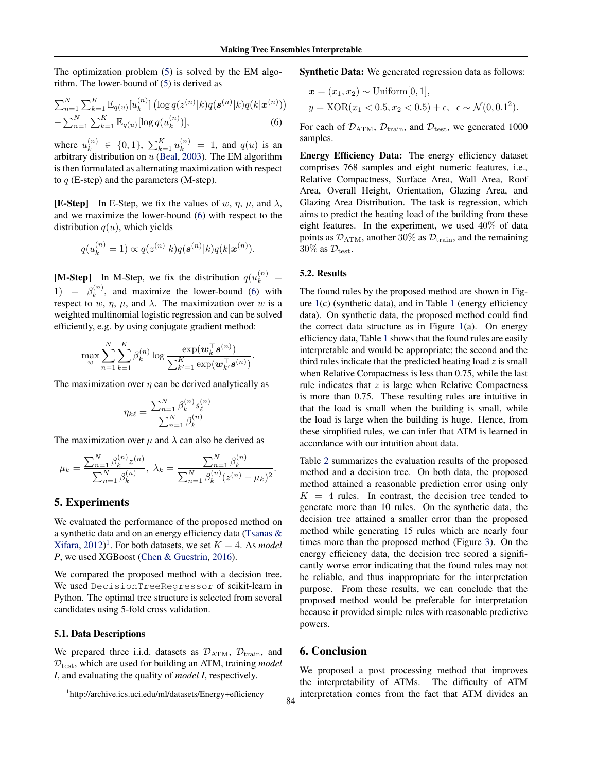The optimization problem [\(5\)](#page-2-0) is solved by the EM algorithm. The lower-bound of [\(5\)](#page-2-0) is derived as

$$
\sum_{n=1}^{N} \sum_{k=1}^{K} \mathbb{E}_{q(u)}[u_k^{(n)}] \left( \log q(z^{(n)}|k) q(\mathbf{s}^{(n)}|k) q(k|\mathbf{x}^{(n)}) \right) - \sum_{n=1}^{N} \sum_{k=1}^{K} \mathbb{E}_{q(u)} [\log q(u_k^{(n)})],
$$
(6)

where  $u_k^{(n)} \in \{0, 1\}$ ,  $\sum_{k=1}^K u_k^{(n)} = 1$ , and  $q(u)$  is an arbitrary distribution on  $u$  [\(Beal,](#page-4-0) [2003\)](#page-4-0). The EM algorithm is then formulated as alternating maximization with respect to  $q$  (E-step) and the parameters (M-step).

**[E-Step]** In E-Step, we fix the values of w,  $\eta$ ,  $\mu$ , and  $\lambda$ , and we maximize the lower-bound (6) with respect to the distribution  $q(u)$ , which yields

$$
q(u_k^{(n)} = 1) \propto q(z^{(n)} | k) q(\mathbf{s}^{(n)} | k) q(k | \mathbf{x}^{(n)}).
$$

[M-Step] In M-Step, we fix the distribution  $q(u_k^{(n)} =$ 1) =  $\beta_k^{(n)}$  $\binom{n}{k}$ , and maximize the lower-bound (6) with respect to w,  $\eta$ ,  $\mu$ , and  $\lambda$ . The maximization over w is a weighted multinomial logistic regression and can be solved efficiently, e.g. by using conjugate gradient method:

$$
\max_{w} \sum_{n=1}^{N} \sum_{k=1}^{K} \beta_k^{(n)} \log \frac{\exp(\boldsymbol{w}_k^{\top} \boldsymbol{s}^{(n)})}{\sum_{k'=1}^{K} \exp(\boldsymbol{w}_k^{\top} \boldsymbol{s}^{(n)})}.
$$

The maximization over  $\eta$  can be derived analytically as

$$
\eta_{k\ell} = \frac{\sum_{n=1}^{N} \beta_k^{(n)} s_\ell^{(n)}}{\sum_{n=1}^{N} \beta_k^{(n)}}
$$

The maximization over  $\mu$  and  $\lambda$  can also be derived as

$$
\mu_k = \frac{\sum_{n=1}^N \beta_k^{(n)} z^{(n)}}{\sum_{n=1}^N \beta_k^{(n)}}, \ \lambda_k = \frac{\sum_{n=1}^N \beta_k^{(n)}}{\sum_{n=1}^N \beta_k^{(n)} (z^{(n)} - \mu_k)^2}.
$$

## 5. Experiments

We evaluated the performance of the proposed method on a synthetic data and on an energy efficiency data [\(Tsanas &](#page-4-0) [Xifara,](#page-4-0)  $2012$ <sup>1</sup>. For both datasets, we set  $K = 4$ . As *model P*, we used XGBoost [\(Chen & Guestrin,](#page-4-0) [2016\)](#page-4-0).

We compared the proposed method with a decision tree. We used DecisionTreeRegressor of scikit-learn in Python. The optimal tree structure is selected from several candidates using 5-fold cross validation.

## 5.1. Data Descriptions

We prepared three i.i.d. datasets as  $\mathcal{D}_{ATM}$ ,  $\mathcal{D}_{train}$ , and  $D<sub>test</sub>$ , which are used for building an ATM, training *model I*, and evaluating the quality of *model I*, respectively.

Synthetic Data: We generated regression data as follows:

$$
\mathbf{x} = (x_1, x_2) \sim \text{Uniform}[0, 1],
$$
  

$$
y = \text{XOR}(x_1 < 0.5, x_2 < 0.5) + \epsilon, \ \epsilon \sim \mathcal{N}(0, 0.1^2).
$$

For each of  $\mathcal{D}_{ATM}$ ,  $\mathcal{D}_{train}$ , and  $\mathcal{D}_{test}$ , we generated 1000 samples.

Energy Efficiency Data: The energy efficiency dataset comprises 768 samples and eight numeric features, i.e., Relative Compactness, Surface Area, Wall Area, Roof Area, Overall Height, Orientation, Glazing Area, and Glazing Area Distribution. The task is regression, which aims to predict the heating load of the building from these eight features. In the experiment, we used 40% of data points as  $\mathcal{D}_{ATM}$ , another 30% as  $\mathcal{D}_{train}$ , and the remaining  $30\%$  as  $\mathcal{D}_{\text{test}}$ .

#### 5.2. Results

The found rules by the proposed method are shown in Figure  $1(c)$  $1(c)$  (synthetic data), and in Table [1](#page-4-0) (energy efficiency data). On synthetic data, the proposed method could find the correct data structure as in Figure [1\(](#page-1-0)a). On energy efficiency data, Table [1](#page-4-0) shows that the found rules are easily interpretable and would be appropriate; the second and the third rules indicate that the predicted heating load  $z$  is small when Relative Compactness is less than 0.75, while the last rule indicates that  $z$  is large when Relative Compactness is more than 0.75. These resulting rules are intuitive in that the load is small when the building is small, while the load is large when the building is huge. Hence, from these simplified rules, we can infer that ATM is learned in accordance with our intuition about data.

Table [2](#page-4-0) summarizes the evaluation results of the proposed method and a decision tree. On both data, the proposed method attained a reasonable prediction error using only  $K = 4$  rules. In contrast, the decision tree tended to generate more than 10 rules. On the synthetic data, the decision tree attained a smaller error than the proposed method while generating 15 rules which are nearly four times more than the proposed method (Figure [3\)](#page-4-0). On the energy efficiency data, the decision tree scored a significantly worse error indicating that the found rules may not be reliable, and thus inappropriate for the interpretation purpose. From these results, we can conclude that the proposed method would be preferable for interpretation because it provided simple rules with reasonable predictive powers.

## 6. Conclusion

We proposed a post processing method that improves the interpretability of ATMs. The difficulty of ATM interpretation comes from the fact that ATM divides an

<sup>1</sup> http://archive.ics.uci.edu/ml/datasets/Energy+efficiency